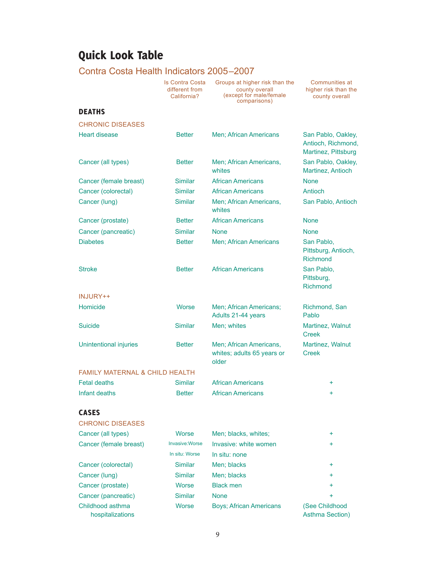# Quick Look Table

## Contra Costa Health Indicators 2005–2007

Is Contra Costa different from California?

Groups at higher risk than the county overall (except for male/female comparisons)

Communities at higher risk than the county overall

### DEATHS

| <b>CHRONIC DISEASES</b>                   |                       |                                                                |                                                                 |
|-------------------------------------------|-----------------------|----------------------------------------------------------------|-----------------------------------------------------------------|
| <b>Heart disease</b>                      | <b>Better</b>         | Men; African Americans                                         | San Pablo, Oakley,<br>Antioch, Richmond,<br>Martinez, Pittsburg |
| Cancer (all types)                        | <b>Better</b>         | Men; African Americans,<br>whites                              | San Pablo, Oakley,<br>Martinez, Antioch                         |
| Cancer (female breast)                    | <b>Similar</b>        | <b>African Americans</b>                                       | <b>None</b>                                                     |
| Cancer (colorectal)                       | <b>Similar</b>        | <b>African Americans</b>                                       | Antioch                                                         |
| Cancer (lung)                             | <b>Similar</b>        | Men; African Americans,<br>whites                              | San Pablo, Antioch                                              |
| Cancer (prostate)                         | <b>Better</b>         | <b>African Americans</b>                                       | <b>None</b>                                                     |
| Cancer (pancreatic)                       | <b>Similar</b>        | <b>None</b>                                                    | <b>None</b>                                                     |
| <b>Diabetes</b>                           | <b>Better</b>         | Men; African Americans                                         | San Pablo,<br>Pittsburg, Antioch,<br><b>Richmond</b>            |
| <b>Stroke</b>                             | <b>Better</b>         | <b>African Americans</b>                                       | San Pablo,<br>Pittsburg,<br>Richmond                            |
| INJURY++                                  |                       |                                                                |                                                                 |
| Homicide                                  | Worse                 | Men; African Americans;<br>Adults 21-44 years                  | Richmond, San<br>Pablo                                          |
| <b>Suicide</b>                            | <b>Similar</b>        | Men; whites                                                    | Martinez, Walnut<br><b>Creek</b>                                |
| <b>Unintentional injuries</b>             | <b>Better</b>         | Men; African Americans,<br>whites; adults 65 years or<br>older | Martinez, Walnut<br><b>Creek</b>                                |
| <b>FAMILY MATERNAL &amp; CHILD HEALTH</b> |                       |                                                                |                                                                 |
| <b>Fetal deaths</b>                       | <b>Similar</b>        | <b>African Americans</b>                                       | ÷                                                               |
| Infant deaths                             | <b>Better</b>         | <b>African Americans</b>                                       | ÷                                                               |
| <b>CASES</b>                              |                       |                                                                |                                                                 |
| <b>CHRONIC DISEASES</b>                   |                       |                                                                |                                                                 |
| Cancer (all types)                        | Worse                 | Men; blacks, whites;                                           | ÷                                                               |
| Cancer (female breast)                    | <b>Invasive:Worse</b> | Invasive: white women                                          | ÷                                                               |
|                                           | In situ: Worse        | In situ: none                                                  |                                                                 |
| Cancer (colorectal)                       | Similar               | Men; blacks                                                    | ÷                                                               |
| Cancer (lung)                             | <b>Similar</b>        | Men; blacks                                                    | $\ddot{}$                                                       |
| Cancer (prostate)                         | Worse                 | <b>Black men</b>                                               | $\ddot{}$                                                       |
| Cancer (pancreatic)                       | <b>Similar</b>        | <b>None</b>                                                    | ÷                                                               |
| Childhood asthma<br>hospitalizations      | Worse                 | <b>Boys</b> ; African Americans                                | (See Childhood<br><b>Asthma Section)</b>                        |